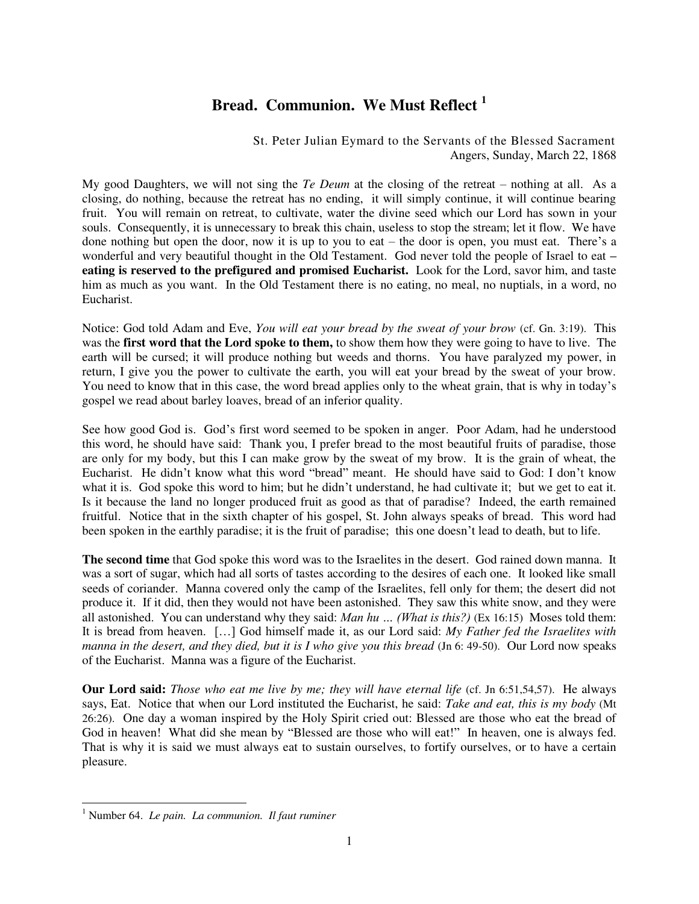## **Bread. Communion. We Must Reflect <sup>1</sup>**

St. Peter Julian Eymard to the Servants of the Blessed Sacrament Angers, Sunday, March 22, 1868

My good Daughters, we will not sing the *Te Deum* at the closing of the retreat – nothing at all. As a closing, do nothing, because the retreat has no ending, it will simply continue, it will continue bearing fruit. You will remain on retreat, to cultivate, water the divine seed which our Lord has sown in your souls. Consequently, it is unnecessary to break this chain, useless to stop the stream; let it flow. We have done nothing but open the door, now it is up to you to eat – the door is open, you must eat. There's a wonderful and very beautiful thought in the Old Testament. God never told the people of Israel to eat **– eating is reserved to the prefigured and promised Eucharist.** Look for the Lord, savor him, and taste him as much as you want. In the Old Testament there is no eating, no meal, no nuptials, in a word, no Eucharist.

Notice: God told Adam and Eve, *You will eat your bread by the sweat of your brow* (cf. Gn. 3:19). This was the **first word that the Lord spoke to them,** to show them how they were going to have to live. The earth will be cursed; it will produce nothing but weeds and thorns. You have paralyzed my power, in return, I give you the power to cultivate the earth, you will eat your bread by the sweat of your brow. You need to know that in this case, the word bread applies only to the wheat grain, that is why in today's gospel we read about barley loaves, bread of an inferior quality.

See how good God is. God's first word seemed to be spoken in anger. Poor Adam, had he understood this word, he should have said: Thank you, I prefer bread to the most beautiful fruits of paradise, those are only for my body, but this I can make grow by the sweat of my brow. It is the grain of wheat, the Eucharist. He didn't know what this word "bread" meant. He should have said to God: I don't know what it is. God spoke this word to him; but he didn't understand, he had cultivate it; but we get to eat it. Is it because the land no longer produced fruit as good as that of paradise? Indeed, the earth remained fruitful. Notice that in the sixth chapter of his gospel, St. John always speaks of bread. This word had been spoken in the earthly paradise; it is the fruit of paradise; this one doesn't lead to death, but to life.

**The second time** that God spoke this word was to the Israelites in the desert. God rained down manna. It was a sort of sugar, which had all sorts of tastes according to the desires of each one. It looked like small seeds of coriander. Manna covered only the camp of the Israelites, fell only for them; the desert did not produce it. If it did, then they would not have been astonished. They saw this white snow, and they were all astonished. You can understand why they said: *Man hu … (What is this?)* (Ex 16:15) Moses told them: It is bread from heaven. […] God himself made it, as our Lord said: *My Father fed the Israelites with manna in the desert, and they died, but it is I who give you this bread (Jn 6: 49-50).* Our Lord now speaks of the Eucharist. Manna was a figure of the Eucharist.

**Our Lord said:** *Those who eat me live by me; they will have eternal life* (cf. Jn 6:51,54,57). He always says, Eat. Notice that when our Lord instituted the Eucharist, he said: *Take and eat, this is my body* (Mt 26:26). One day a woman inspired by the Holy Spirit cried out: Blessed are those who eat the bread of God in heaven! What did she mean by "Blessed are those who will eat!" In heaven, one is always fed. That is why it is said we must always eat to sustain ourselves, to fortify ourselves, or to have a certain pleasure.

 $\overline{a}$ 

<sup>1</sup> Number 64. *Le pain. La communion. Il faut ruminer*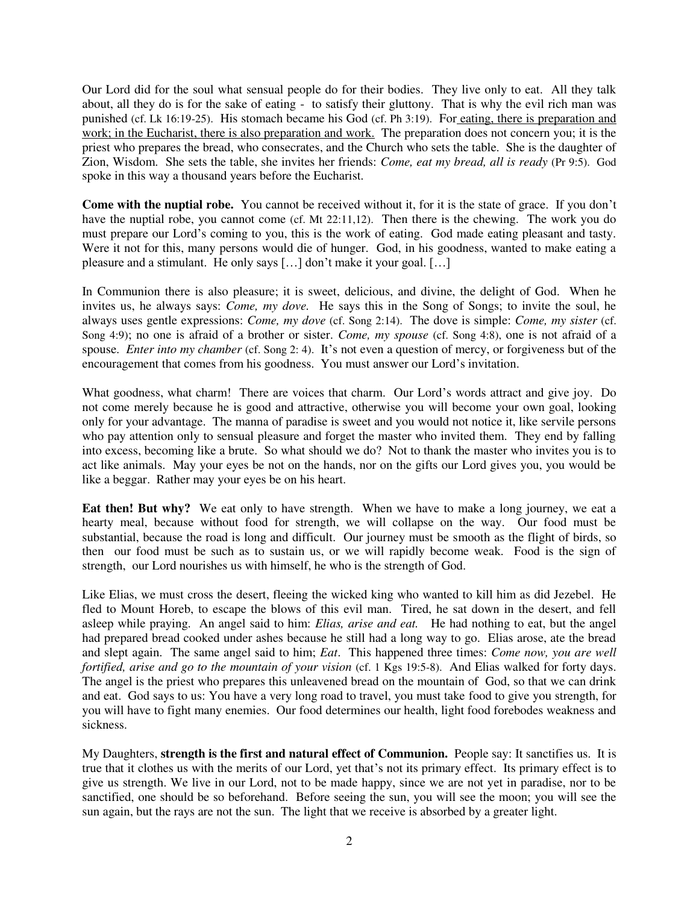Our Lord did for the soul what sensual people do for their bodies. They live only to eat. All they talk about, all they do is for the sake of eating - to satisfy their gluttony. That is why the evil rich man was punished (cf. Lk 16:19-25). His stomach became his God (cf. Ph 3:19). For eating, there is preparation and work; in the Eucharist, there is also preparation and work. The preparation does not concern you; it is the priest who prepares the bread, who consecrates, and the Church who sets the table. She is the daughter of Zion, Wisdom. She sets the table, she invites her friends: *Come, eat my bread, all is ready* (Pr 9:5). God spoke in this way a thousand years before the Eucharist.

**Come with the nuptial robe.** You cannot be received without it, for it is the state of grace. If you don't have the nuptial robe, you cannot come (cf. Mt 22:11,12). Then there is the chewing. The work you do must prepare our Lord's coming to you, this is the work of eating. God made eating pleasant and tasty. Were it not for this, many persons would die of hunger. God, in his goodness, wanted to make eating a pleasure and a stimulant. He only says […] don't make it your goal. […]

In Communion there is also pleasure; it is sweet, delicious, and divine, the delight of God. When he invites us, he always says: *Come, my dove.* He says this in the Song of Songs; to invite the soul, he always uses gentle expressions: *Come, my dove* (cf. Song 2:14). The dove is simple: *Come, my sister* (cf. Song 4:9); no one is afraid of a brother or sister. *Come, my spouse* (cf. Song 4:8), one is not afraid of a spouse. *Enter into my chamber* (cf. Song 2: 4). It's not even a question of mercy, or forgiveness but of the encouragement that comes from his goodness. You must answer our Lord's invitation.

What goodness, what charm! There are voices that charm. Our Lord's words attract and give joy. Do not come merely because he is good and attractive, otherwise you will become your own goal, looking only for your advantage. The manna of paradise is sweet and you would not notice it, like servile persons who pay attention only to sensual pleasure and forget the master who invited them. They end by falling into excess, becoming like a brute. So what should we do? Not to thank the master who invites you is to act like animals. May your eyes be not on the hands, nor on the gifts our Lord gives you, you would be like a beggar. Rather may your eyes be on his heart.

**Eat then! But why?** We eat only to have strength. When we have to make a long journey, we eat a hearty meal, because without food for strength, we will collapse on the way. Our food must be substantial, because the road is long and difficult. Our journey must be smooth as the flight of birds, so then our food must be such as to sustain us, or we will rapidly become weak. Food is the sign of strength, our Lord nourishes us with himself, he who is the strength of God.

Like Elias, we must cross the desert, fleeing the wicked king who wanted to kill him as did Jezebel. He fled to Mount Horeb, to escape the blows of this evil man. Tired, he sat down in the desert, and fell asleep while praying. An angel said to him: *Elias, arise and eat.* He had nothing to eat, but the angel had prepared bread cooked under ashes because he still had a long way to go. Elias arose, ate the bread and slept again. The same angel said to him; *Eat*. This happened three times: *Come now, you are well fortified, arise and go to the mountain of your vision (cf. 1 Kgs 19:5-8). And Elias walked for forty days.* The angel is the priest who prepares this unleavened bread on the mountain of God, so that we can drink and eat. God says to us: You have a very long road to travel, you must take food to give you strength, for you will have to fight many enemies. Our food determines our health, light food forebodes weakness and sickness.

My Daughters, **strength is the first and natural effect of Communion.** People say: It sanctifies us. It is true that it clothes us with the merits of our Lord, yet that's not its primary effect. Its primary effect is to give us strength. We live in our Lord, not to be made happy, since we are not yet in paradise, nor to be sanctified, one should be so beforehand. Before seeing the sun, you will see the moon; you will see the sun again, but the rays are not the sun. The light that we receive is absorbed by a greater light.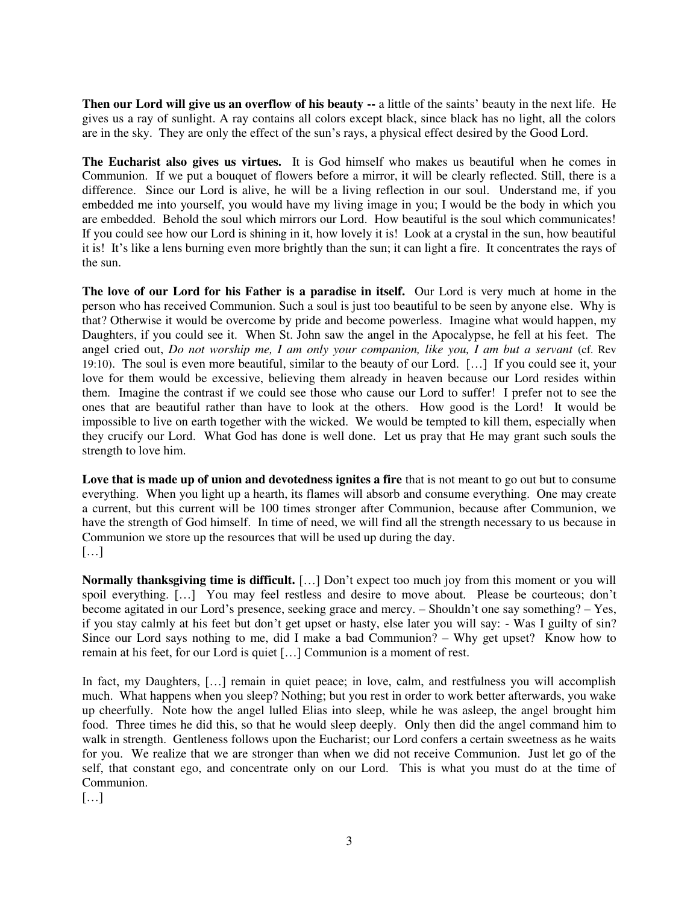**Then our Lord will give us an overflow of his beauty --** a little of the saints' beauty in the next life. He gives us a ray of sunlight. A ray contains all colors except black, since black has no light, all the colors are in the sky. They are only the effect of the sun's rays, a physical effect desired by the Good Lord.

**The Eucharist also gives us virtues.** It is God himself who makes us beautiful when he comes in Communion. If we put a bouquet of flowers before a mirror, it will be clearly reflected. Still, there is a difference. Since our Lord is alive, he will be a living reflection in our soul. Understand me, if you embedded me into yourself, you would have my living image in you; I would be the body in which you are embedded. Behold the soul which mirrors our Lord. How beautiful is the soul which communicates! If you could see how our Lord is shining in it, how lovely it is! Look at a crystal in the sun, how beautiful it is! It's like a lens burning even more brightly than the sun; it can light a fire. It concentrates the rays of the sun.

**The love of our Lord for his Father is a paradise in itself.** Our Lord is very much at home in the person who has received Communion. Such a soul is just too beautiful to be seen by anyone else. Why is that? Otherwise it would be overcome by pride and become powerless. Imagine what would happen, my Daughters, if you could see it. When St. John saw the angel in the Apocalypse, he fell at his feet. The angel cried out, *Do not worship me, I am only your companion, like you, I am but a servant* (cf. Rev 19:10). The soul is even more beautiful, similar to the beauty of our Lord. […] If you could see it, your love for them would be excessive, believing them already in heaven because our Lord resides within them. Imagine the contrast if we could see those who cause our Lord to suffer! I prefer not to see the ones that are beautiful rather than have to look at the others. How good is the Lord! It would be impossible to live on earth together with the wicked. We would be tempted to kill them, especially when they crucify our Lord. What God has done is well done. Let us pray that He may grant such souls the strength to love him.

**Love that is made up of union and devotedness ignites a fire** that is not meant to go out but to consume everything. When you light up a hearth, its flames will absorb and consume everything. One may create a current, but this current will be 100 times stronger after Communion, because after Communion, we have the strength of God himself. In time of need, we will find all the strength necessary to us because in Communion we store up the resources that will be used up during the day. […]

**Normally thanksgiving time is difficult.** [...] Don't expect too much joy from this moment or you will spoil everything. […] You may feel restless and desire to move about. Please be courteous; don't become agitated in our Lord's presence, seeking grace and mercy. – Shouldn't one say something? – Yes, if you stay calmly at his feet but don't get upset or hasty, else later you will say: - Was I guilty of sin? Since our Lord says nothing to me, did I make a bad Communion? – Why get upset? Know how to remain at his feet, for our Lord is quiet […] Communion is a moment of rest.

In fact, my Daughters, [...] remain in quiet peace; in love, calm, and restfulness you will accomplish much. What happens when you sleep? Nothing; but you rest in order to work better afterwards, you wake up cheerfully. Note how the angel lulled Elias into sleep, while he was asleep, the angel brought him food. Three times he did this, so that he would sleep deeply. Only then did the angel command him to walk in strength. Gentleness follows upon the Eucharist; our Lord confers a certain sweetness as he waits for you. We realize that we are stronger than when we did not receive Communion. Just let go of the self, that constant ego, and concentrate only on our Lord. This is what you must do at the time of Communion.

[…]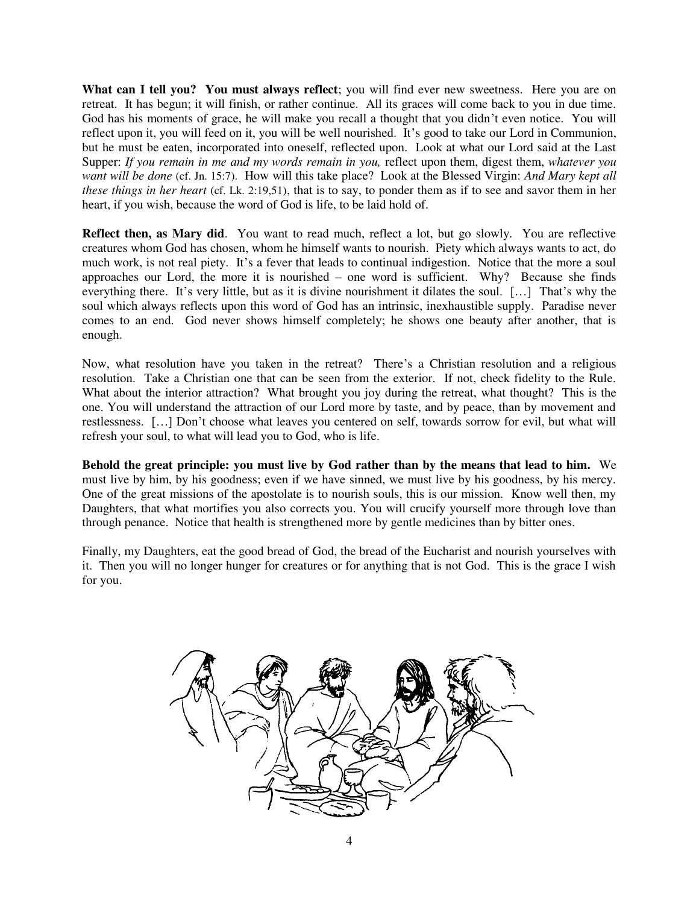What can I tell you? You must always reflect; you will find ever new sweetness. Here you are on retreat. It has begun; it will finish, or rather continue. All its graces will come back to you in due time. God has his moments of grace, he will make you recall a thought that you didn't even notice. You will reflect upon it, you will feed on it, you will be well nourished. It's good to take our Lord in Communion, but he must be eaten, incorporated into oneself, reflected upon. Look at what our Lord said at the Last Supper: *If you remain in me and my words remain in you*, reflect upon them, digest them, *whatever you want will be done* (cf. Jn. 15:7). How will this take place? Look at the Blessed Virgin: *And Mary kept all these things in her heart* (cf. Lk. 2:19,51), that is to say, to ponder them as if to see and savor them in her heart, if you wish, because the word of God is life, to be laid hold of.

**Reflect then, as Mary did**. You want to read much, reflect a lot, but go slowly. You are reflective creatures whom God has chosen, whom he himself wants to nourish. Piety which always wants to act, do much work, is not real piety. It's a fever that leads to continual indigestion. Notice that the more a soul approaches our Lord, the more it is nourished – one word is sufficient. Why? Because she finds everything there. It's very little, but as it is divine nourishment it dilates the soul. […] That's why the soul which always reflects upon this word of God has an intrinsic, inexhaustible supply. Paradise never comes to an end. God never shows himself completely; he shows one beauty after another, that is enough.

Now, what resolution have you taken in the retreat? There's a Christian resolution and a religious resolution. Take a Christian one that can be seen from the exterior. If not, check fidelity to the Rule. What about the interior attraction? What brought you joy during the retreat, what thought? This is the one. You will understand the attraction of our Lord more by taste, and by peace, than by movement and restlessness. […] Don't choose what leaves you centered on self, towards sorrow for evil, but what will refresh your soul, to what will lead you to God, who is life.

**Behold the great principle: you must live by God rather than by the means that lead to him.** We must live by him, by his goodness; even if we have sinned, we must live by his goodness, by his mercy. One of the great missions of the apostolate is to nourish souls, this is our mission. Know well then, my Daughters, that what mortifies you also corrects you. You will crucify yourself more through love than through penance. Notice that health is strengthened more by gentle medicines than by bitter ones.

Finally, my Daughters, eat the good bread of God, the bread of the Eucharist and nourish yourselves with it. Then you will no longer hunger for creatures or for anything that is not God. This is the grace I wish for you.